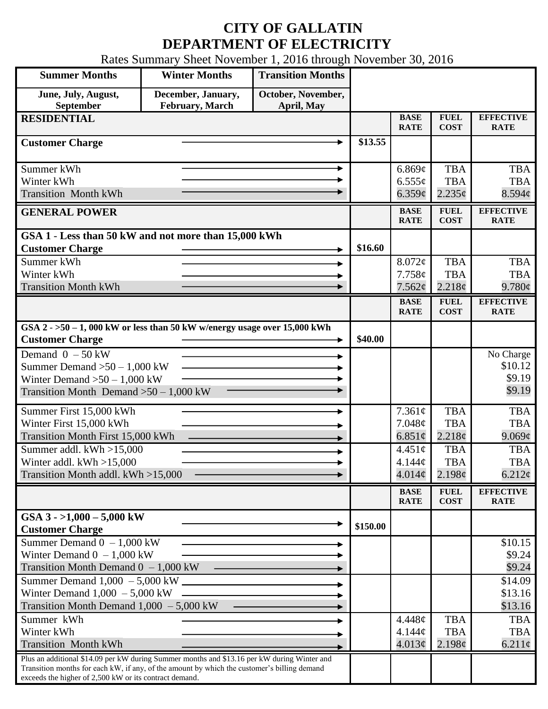## **CITY OF GALLATIN DEPARTMENT OF ELECTRICITY**

Rates Summary Sheet November 1, 2016 through November 30, 2016

| <b>Summer Months</b>                                                                                                                                                                                                                                 | <b>Winter Months</b>                          | <b>Transition Months</b>         |          |                                       |                                                |                                          |
|------------------------------------------------------------------------------------------------------------------------------------------------------------------------------------------------------------------------------------------------------|-----------------------------------------------|----------------------------------|----------|---------------------------------------|------------------------------------------------|------------------------------------------|
| June, July, August,<br><b>September</b>                                                                                                                                                                                                              | December, January,<br><b>February</b> , March | October, November,<br>April, May |          |                                       |                                                |                                          |
| <b>RESIDENTIAL</b>                                                                                                                                                                                                                                   |                                               |                                  |          | <b>BASE</b><br><b>RATE</b>            | <b>FUEL</b><br><b>COST</b>                     | <b>EFFECTIVE</b><br><b>RATE</b>          |
| <b>Customer Charge</b>                                                                                                                                                                                                                               |                                               |                                  | \$13.55  |                                       |                                                |                                          |
| Summer kWh<br>Winter kWh<br><b>Transition Month kWh</b>                                                                                                                                                                                              |                                               | ۰                                |          | 6.869¢<br>$6.555\sigma$<br>6.359¢     | <b>TBA</b><br><b>TBA</b><br>2.235¢             | <b>TBA</b><br><b>TBA</b><br>8.594¢       |
| <b>GENERAL POWER</b>                                                                                                                                                                                                                                 |                                               |                                  |          | <b>BASE</b><br><b>RATE</b>            | <b>FUEL</b><br><b>COST</b>                     | <b>EFFECTIVE</b><br><b>RATE</b>          |
| GSA 1 - Less than 50 kW and not more than 15,000 kWh<br><b>Customer Charge</b>                                                                                                                                                                       |                                               |                                  | \$16.60  |                                       |                                                |                                          |
| Summer kWh<br>Winter kWh                                                                                                                                                                                                                             |                                               |                                  |          | 8.072¢<br>7.758¢                      | <b>TBA</b><br><b>TBA</b>                       | <b>TBA</b><br><b>TBA</b>                 |
| <b>Transition Month kWh</b>                                                                                                                                                                                                                          |                                               |                                  |          | 7.562¢<br><b>BASE</b>                 | 2.218¢<br><b>FUEL</b>                          | 9.780c<br><b>EFFECTIVE</b>               |
| GSA $2 - 50 - 1$ , 000 kW or less than 50 kW w/energy usage over 15,000 kWh<br><b>Customer Charge</b>                                                                                                                                                |                                               |                                  | \$40.00  | <b>RATE</b>                           | <b>COST</b>                                    | <b>RATE</b>                              |
| Demand $0 - 50$ kW<br>Summer Demand $>50 - 1,000$ kW<br>Winter Demand $>50 - 1,000$ kW<br>Transition Month Demand $>50-1,000$ kW                                                                                                                     |                                               |                                  |          |                                       |                                                | No Charge<br>\$10.12<br>\$9.19<br>\$9.19 |
| Summer First 15,000 kWh<br>Winter First 15,000 kWh<br>Transition Month First 15,000 kWh                                                                                                                                                              |                                               |                                  |          | $7.361\phi$<br>7.048¢<br>6.851 $\phi$ | <b>TBA</b><br><b>TBA</b><br>2.218 <sub>c</sub> | <b>TBA</b><br><b>TBA</b><br>9.069¢       |
| Summer addl. $kWh > 15,000$<br>Winter addl. $kWh > 15,000$<br>Transition Month addl. kWh >15,000                                                                                                                                                     |                                               |                                  |          | 4.451¢<br>4.144¢<br>$4.014\phi$       | <b>TBA</b><br><b>TBA</b><br>2.198¢             | <b>TBA</b><br><b>TBA</b><br>$6.212\phi$  |
|                                                                                                                                                                                                                                                      |                                               |                                  |          | <b>BASE</b><br><b>RATE</b>            | <b>FUEL</b><br><b>COST</b>                     | <b>EFFECTIVE</b><br><b>RATE</b>          |
| GSA $3 - 1,000 - 5,000$ kW<br><b>Customer Charge</b>                                                                                                                                                                                                 |                                               |                                  | \$150.00 |                                       |                                                |                                          |
| Summer Demand $0 - 1,000$ kW<br>Winter Demand $0 - 1,000$ kW<br>Transition Month Demand $0 - 1,000$ kW                                                                                                                                               |                                               |                                  |          |                                       |                                                | \$10.15<br>\$9.24<br>\$9.24              |
| Summer Demand $1,000 - 5,000$ kW $\overline{\phantom{2n}}$<br>Winter Demand $1,000 - 5,000$ kW<br>Transition Month Demand $1,000 - 5,000$ kW                                                                                                         |                                               |                                  |          |                                       |                                                | \$14.09<br>\$13.16<br>\$13.16            |
| Summer kWh<br>Winter kWh<br><b>Transition Month kWh</b>                                                                                                                                                                                              |                                               |                                  |          | 4.448¢<br>4.144¢<br>4.013¢            | <b>TBA</b><br><b>TBA</b><br>2.198¢             | <b>TBA</b><br><b>TBA</b><br>$6.211\phi$  |
| Plus an additional \$14.09 per kW during Summer months and \$13.16 per kW during Winter and<br>Transition months for each kW, if any, of the amount by which the customer's billing demand<br>exceeds the higher of 2,500 kW or its contract demand. |                                               |                                  |          |                                       |                                                |                                          |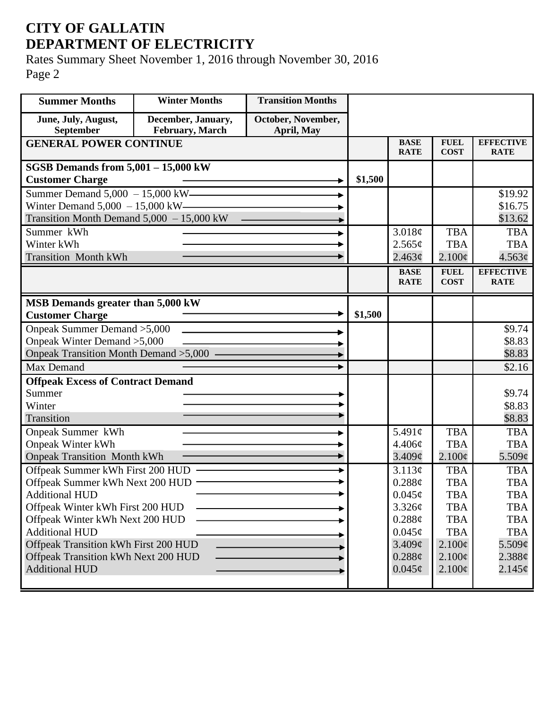## **CITY OF GALLATIN DEPARTMENT OF ELECTRICITY**

Rates Summary Sheet November 1, 2016 through November 30, 2016 Page 2

| <b>Summer Months</b>                        | <b>Winter Months</b> | <b>Transition Months</b> |         |                            |                            |                                 |
|---------------------------------------------|----------------------|--------------------------|---------|----------------------------|----------------------------|---------------------------------|
| June, July, August,                         | December, January,   | October, November,       |         |                            |                            |                                 |
| September                                   | February, March      | April, May               |         |                            |                            |                                 |
| <b>GENERAL POWER CONTINUE</b>               |                      |                          |         | <b>BASE</b><br><b>RATE</b> | <b>FUEL</b><br><b>COST</b> | <b>EFFECTIVE</b><br><b>RATE</b> |
| SGSB Demands from $5,001 - 15,000$ kW       |                      |                          |         |                            |                            |                                 |
| <b>Customer Charge</b>                      |                      |                          | \$1,500 |                            |                            |                                 |
| Summer Demand 5,000 - 15,000 kW             |                      |                          |         |                            |                            | \$19.92                         |
| Winter Demand $5,000 - 15,000$ kW-          |                      |                          |         |                            |                            | \$16.75                         |
| Transition Month Demand $5,000 - 15,000$ kW |                      |                          |         |                            |                            | \$13.62                         |
| Summer kWh                                  |                      |                          |         | 3.018¢                     | <b>TBA</b>                 | <b>TBA</b>                      |
| Winter kWh                                  |                      |                          |         | 2.565¢                     | <b>TBA</b>                 | <b>TBA</b>                      |
| <b>Transition Month kWh</b>                 |                      |                          |         | 2.463¢                     | $2.100\epsilon$            | $4.563\phi$                     |
|                                             |                      |                          |         | <b>BASE</b>                | <b>FUEL</b>                | <b>EFFECTIVE</b>                |
|                                             |                      |                          |         | <b>RATE</b>                | <b>COST</b>                | <b>RATE</b>                     |
| MSB Demands greater than 5,000 kW           |                      |                          |         |                            |                            |                                 |
| <b>Customer Charge</b>                      |                      |                          | \$1,500 |                            |                            |                                 |
| Onpeak Summer Demand > 5,000                |                      |                          |         |                            |                            | \$9.74                          |
| Onpeak Winter Demand > 5,000                |                      |                          |         |                            |                            | \$8.83                          |
| Onpeak Transition Month Demand >5,000 -     |                      |                          |         |                            |                            | \$8.83                          |
| Max Demand                                  |                      |                          |         |                            |                            | \$2.16                          |
| <b>Offpeak Excess of Contract Demand</b>    |                      |                          |         |                            |                            |                                 |
| Summer                                      |                      |                          |         |                            |                            | \$9.74                          |
| Winter                                      |                      |                          |         |                            |                            | \$8.83                          |
| Transition                                  |                      |                          |         |                            |                            | \$8.83                          |
| Onpeak Summer kWh                           |                      |                          |         | 5.491 $\phi$               | <b>TBA</b>                 | <b>TBA</b>                      |
| <b>Onpeak Winter kWh</b>                    |                      |                          |         | 4.406¢                     | <b>TBA</b>                 | <b>TBA</b>                      |
| <b>Onpeak Transition Month kWh</b>          |                      |                          |         | $3.409\mathcal{C}$         | $2.100\epsilon$            | $5.509\phi$                     |
| Offpeak Summer kWh First 200 HUD            |                      |                          |         | 3.113¢                     | <b>TBA</b>                 | <b>TBA</b>                      |
| Offpeak Summer kWh Next 200 HUD             |                      |                          |         | 0.288¢                     | <b>TBA</b>                 | <b>TBA</b>                      |
| <b>Additional HUD</b>                       |                      |                          |         | $0.045\phi$                | <b>TBA</b>                 | <b>TBA</b>                      |
| Offpeak Winter kWh First 200 HUD            |                      |                          |         | 3.326¢                     | <b>TBA</b>                 | <b>TBA</b>                      |
| Offpeak Winter kWh Next 200 HUD             |                      |                          |         | 0.288¢                     | <b>TBA</b>                 | <b>TBA</b>                      |
| <b>Additional HUD</b>                       |                      |                          |         | $0.045\phi$                | <b>TBA</b>                 | <b>TBA</b>                      |
| Offpeak Transition kWh First 200 HUD        |                      |                          |         | 3.409¢                     | $2.100\epsilon$            | $5.509\phi$                     |
| Offpeak Transition kWh Next 200 HUD         |                      |                          |         | 0.288¢                     | $2.100\phi$                | $2.388\phi$                     |
| <b>Additional HUD</b>                       |                      |                          |         | $0.045\phi$                | $2.100\phi$                | $2.145\phi$                     |
|                                             |                      |                          |         |                            |                            |                                 |